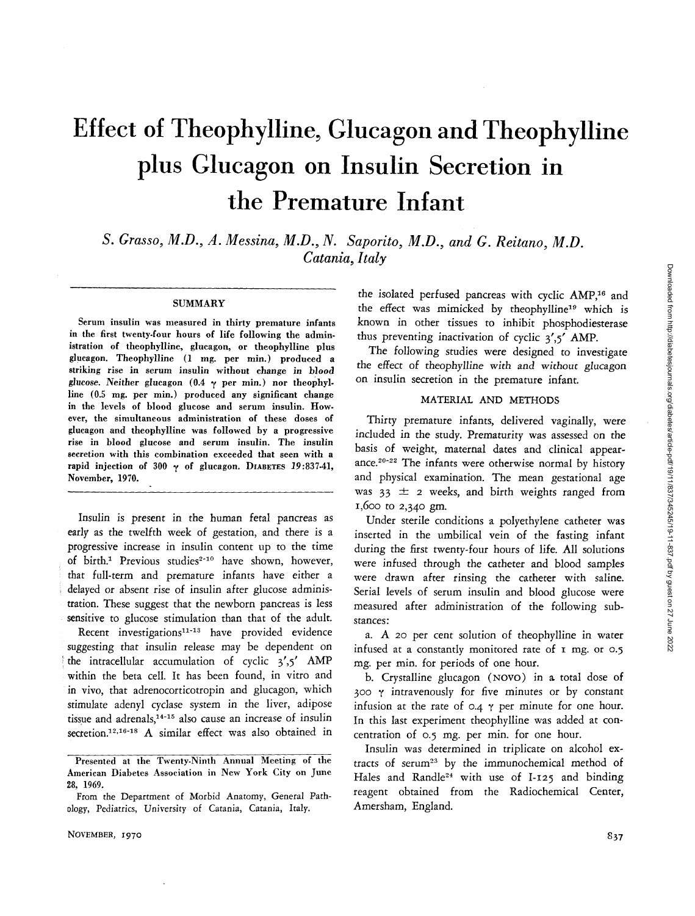# Effect of Theophylline, Glucagon and Theophylline plus Glucagon on Insulin Secretion in the Premature Infant

*S. Grasso, M.D., A. Messina, M.D., N. Saporito, M.D., and G. Reitano, M.D. Catania, Italy*

#### SUMMARY

Serum insulin was measured in thirty premature infants in the first twenty-four hours of life following the administration of theophylline, glucagon, or theophylline plus glucagon. Theophylline (1 mg. per min.) produced a striking rise in serum insulin without change in blood *glucose. Neither* glucagon (0.4 *y* per min.) nor theophylline (0.5 mg. per min.) produced any significant change in the levels of blood glucose and serum insulin. However, the simultaneous administration of these doses of glucagon and theophylline was followed by a progressive rise in blood glucose and serum insulin. The insulin secretion with this combination exceeded that seen with a rapid injection of 300  $\gamma$  of glucagon. DIABETES 19:837-41, November, 1970.

Insulin *is* present in the human fetal pancreas as early as the twelfth week of gestation, and there is a progressive increase in insulin content up to the time of birth.<sup>1</sup> Previous studies<sup>2-10</sup> have shown, however, that full-term and premature infants have either a delayed or absent rise of insulin after glucose administration. These suggest that the newborn pancreas is less sensitive to glucose stimulation than that of the adult.

Recent investigations<sup>11-13</sup> have provided evidence suggesting that insulin release may be dependent on the intracellular accumulation of cyclic  $3',5'$  AMP within the beta cell. It has been found, in vitro and in vivo, that adrenocorticotropin and glucagon, which stimulate adenyl cyclase system in the liver, adipose tissue and adrenals,<sup>14-15</sup> also cause an increase of insulin secretion.<sup>12,16-18</sup> A similar effect was also obtained in

the isolated perfused pancreas with cyclic AMP,<sup>16</sup> and the effect was mimicked by theophylline19 which *is* known in other tissues *to* inhibit phosphodiesterase thus preventing inactivation of cyclic  $3', 5'$  AMP.

The following studies were designed to investigate the effect of *theophylline with and without glucagon* on insulin secretion in the premature infant.

#### MATERIAL AND METHODS

Thirty premature infants, delivered vaginally, were included in the study. Prematurity was assessed on the basis of weight, maternal dates and clinical appearance.<sup>20-22</sup> The infants were otherwise normal by history and physical examination. The mean gestational age was  $33 \pm 2$  weeks, and birth weights ranged from 1,600 to 2,340 gm.

Under sterile conditions a polyethylene catheter was inserted in the umbilical vein of the fasting infant during the first twenty-four hours of life. All solutions were infused through the catheter and blood samples were drawn after rinsing the catheter with saline. Serial levels of serum insulin and blood glucose were measured after administration of the following substances:

a. A 20 per cent solution of theophylline in water infused at a constantly monitored rate of 1 mg. or 0.5 *mg.* per min. for periods of one hour.

b. Crystalline glucagon (NOVO) in a total dose of 300 y intravenously for five minutes or by constant infusion at the rate of  $0.4$   $\gamma$  per minute for one hour. In this last experiment theophylline was added at concentration of 0.5 mg. per min. for one hour.

Insulin was determined in triplicate on alcohol extracts of serum<sup>23</sup> by the immunochemical method of Hales and Randle<sup>24</sup> with use of I-125 and binding reagent obtained from the Radiochemical Center, Amersham, England.

Presented at the Twenty-Ninth Annual Meeting of the American Diabetes Association in New York City on June 28, 1969.

From the Department of Morbid Anatomy, General Pathology, Pediatrics, University of Catania, Catania, Italy.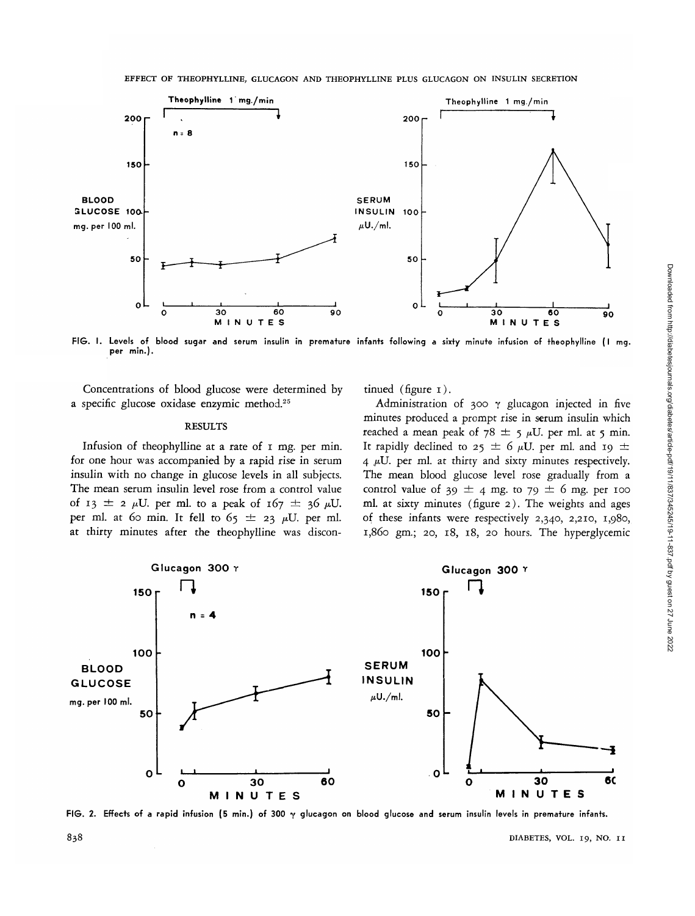

FIG. I. Levels of blood sugar and serum insulin in premature infants following a sixty minute infusion of theophylline (I mg.<br>per min.).

Concentrations of blood glucose were determined by a specific glucose oxidase enzymic method.25

#### RESULTS

Infusion of theophylline at a rate of I mg. per min. for one hour was accompanied by a rapid rise in serum insulin with no change in glucose levels in all subjects. The mean serum insulin level rose from a control value of 13  $\pm$  2  $\mu$ U. per ml. to a peak of 167  $\pm$  36  $\mu$ U. per ml. at 60 min. It fell to  $65 \pm 23$   $\mu$ U. per ml. at thirty minutes after the theophylline was discontinued (figure 1).

Administration of 300  $\gamma$  glucagon injected in five minutes produced a prompt rise in serum insulin which reached a mean peak of  $78 \pm 5 \mu U$ . per ml. at 5 min. It rapidly declined to  $25 \pm 6 \mu U$ . per ml. and 19  $\pm$  $4 \mu U$ . per ml. at thirty and sixty minutes respectively. The mean blood glucose level rose gradually from a control value of 39  $\pm$  4 mg. to 79  $\pm$  6 mg. per 100 ml. at sixty minutes (figure 2). The weights and ages of these infants were respectively 2,340, 2,210, 1,980, 1,860 gm.; 20, 18, 18, 20 hours. The hyperglycemic



FIG. 2. Effects of a rapid infusion (5 min.) of 300 y glucagon on blood glucose and serum insulin levels in premature infants.

838 DIABETES, VOL. 19, NO. I I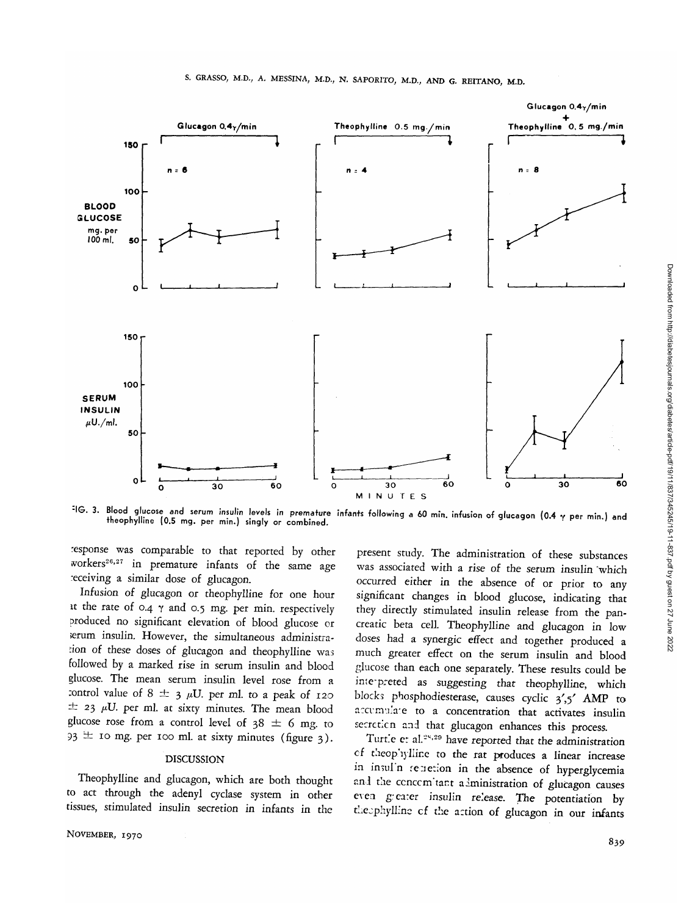

: IG. 3. Blood glucose and serum insulin levels in premature infants following a 60 min. infusion of glucagon (0.4 y per min.) and theophylline (0.5 mg. per min.) singly or combined.

response was comparable to that reported by other workers<sup>26,27</sup> in premature infants of the same age receiving a similar dose of glucagon.

Infusion of glucagon or theophylline for one hour at the rate of 0.4  $\gamma$  and 0.5 mg. per min. respectively produced no significant elevation of blood glucose or serum insulin. However, the simultaneous administration of these doses of glucagon and theophylline was followed by a marked rise in serum insulin and blood glucose. The mean serum insulin level rose from a :ontrol value of 8  $\pm$  3  $\mu$ U. per ml. to a peak of 120  $\pm$  23  $\mu$ U. per ml. at sixty minutes. The mean blood glucose rose from a control level of  $38 \pm 6$  mg. to  $93 \pm 10$  mg. per 100 ml. at sixty minutes (figure 3).

#### DISCUSSION

Theophylline and glucagon, which are both thought to act through the adenyl cyclase system in other tissues, stimulated insulin secretion in infants in the

present study. The administration of these substances was associated with a rise of the serum insulin "which occurred either in the absence of or prior to any significant changes in blood glucose, indicating that they directly stimulated insulin release from the pancreatic beta cell. Theophylline and glucagon in low doses had a synergic effect and together produced a much greater effect on the serum insulin and blood glucose than each one separately. These results could be ime-preted as suggesting that theophylline, which blocks phosphodiesterase, causes cyclic 3',5' AMP to accumulate to a concentration that activates insulin secrcticn and that glucagon enhances this process.

Turtle et al.<sup>25,29</sup> have reported that the administration cf theop'i) Mine to the rat produces a linear increase in insul'n renetion in the absence of hyperglycemia and the cencem tant administration of glucagon causes even greater insulin release. The potentiation by theophylline of the action of glucagon in our infants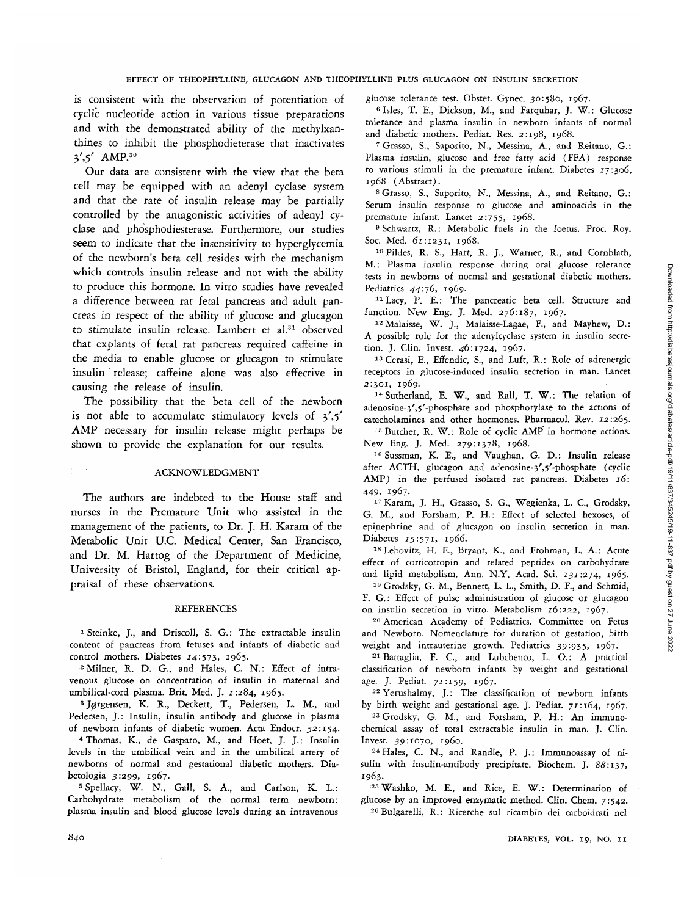is consistent with the observation of potentiation of cyclic nucleotide action in various tissue preparations and with the demonstrated ability of the methylxanthines to inhibit the phosphodieterase that inactivates 3',5' AMP.<sup>30</sup>

Our data are consistent with the view that the beta cell may be equipped with an adenyl cyclase system and that the rate of insulin release may be partially controlled by the antagonistic activities of adenyl cyclase and phosphodiesterase. Furthermore, our studies seem to indicate that the insensitivity to hyperglycemia of the newborn's beta cell resides with the mechanism which controls insulin release and not with the ability to produce this hormone. In vitro studies have revealed a difference between rat fetal pancreas and adult pancreas in respect of the ability of glucose and glucagon to stimulate insulin release. Lambert et al.<sup>31</sup> observed that explants of fetal rat pancreas required caffeine in the media to enable glucose or glucagon to stimulate insulin ' release; caffeine alone was also effective in causing the release of insulin.

The possibility that the beta cell of the newborn is not able to accumulate stimulatory levels of  $3'$ ,  $5'$ AMP necessary for insulin release might perhaps be shown to provide the explanation for our results.

### : ACKNOWLEDGMENT

The authors are indebted to the House staff and nurses in the Premature Unit who assisted in the management of the patients, to Dr. J. H. Karam of the Metabolic Unit U.C. Medical Center, San Francisco, and Dr. M. Hartog of the Department of Medicine, University of Bristol, England, for their critical appraisal of these observations.

#### **REFERENCES**

1 Steinke, J., and Driscoll, S. G.: The extractable insulin content of pancreas from fetuses and infants of diabetic and control mothers. Diabetes  $14:573$ , 1965.

<sup>2</sup> Milner, R. D. G., and Hales, C. N.: Effect of intravenous glucose on concentration of insulin in maternal and umbilical-cord plasma. Brit. Med. J. *1:284,* 1965. <sup>3</sup>

<sup>3</sup> Jørgensen, K. R., Deckert, T., Pedersen, L. M., and Pedersen, J.: Insulin, insulin antibody and glucose in plasma of newborn infants of diabetic women. Acta Endocr. 52:154.

 Thomas, K., de Gasparo, M., and Hoet, J. J.: Insulin levels in the umbilical vein and in the umbilical artery of newborns of normal and gestational diabetic mothers. Diabetologia 3:299, 1967.

5 Spellacy, W. N., Gall, S. A., and Carlson, K. L.: Carbohydrate metabolism of the normal term newborn: plasma insulin and blood glucose levels during an intravenous glucose tolerance test. Obstet. Gynec. 30:580, 1967.

<sup>6</sup> Isles, T. E., Dickson, M., and Farquhar, J. W.: Glucose tolerance and plasma insulin in newborn infants of normal and diabetic mothers. Pediat. Res. 2:198, 1968.

 Grasso, S., Saporito, N., Messina, A., and Reitano, G.: Plasma insulin, glucose and free fatty acid (FFA) response to various stimuli in the premature infant. Diabetes 17:306, 1968 (Abstract).

 Grasso, S., Saporito, N., Messina, A., and Reitano, G.: Serum insulin response *to* glucose and aminoacids in the premature infant. Lancet 2:755, 1968.

<sup>9</sup> Schwartz, R.: Metabolic fuels in the foetus. Proc. Roy. Soc. Med. 61:1231, 1968.

<sup>10</sup> Pildes, R. S., Hart, R. J., Warner, R., and Cornblath, M.: Plasma insulin response during oral glucose tolerance tests in newborns of normal and gestational diabetic mothers. Pediatrics 44:76, 1969.

 Lacy, P. E.: The pancreatic beta cell. Structure and function. New Eng. J. Med. 276:187, 1967.

12 Malaisse, W. J., Malaisse-Lagae, F., and Mayhew, D.: A possible role for the adenylcyclase system in insulin secretion. J. Clin. Invest. 46:1724, 1967.

 Cerasi, E., Effendic, S., and Luft, R.: Role of adrenergic receptors in glucose-induced insulin secretion in man. Lancet 2:301, 1969.

<sup>14</sup> Sutherland, E. W., and Rall, T. W.: The relation of adenosine-3',5'-phosphate and phosphorylase to the actions of catecholamines and other hormones. Pharmacol. Rev. 12:265.

<sup>15</sup> Butcher, R. W.: Role of cyclic AMP in hormone actions. New Eng. J. Med. 279:1378, 1968.

<sup>16</sup> Sussman, K. E., and Vaughan, G. D.: Insulin release after ACTH, glucagon and adenosine-3',5'-phosphate (cyclic AMP) in the perfused isolated rat pancreas. Diabetes *16:* 449, 1967.

1 7 Karam, J. H., Grasso, S. G., Wegienka, L. C, Grodsky, G. M., and Forsham, P. H.: Effect of selected hexoses, of epinephrine and of glucagon on insulin secretion in man. Diabetes 15:571, 1966.

<sup>18</sup> Lebovitz, H. E., Bryant, K., and Frohman, L. A.: Acute effect of corticotropin and related peptides on carbohydrate and lipid metabolism. Ann. N.Y. Acad. Sci. 131:274, 1965.

<sup>19</sup> Grodsky, G. M., Bennett, L. L., Smith, D. F., and Schmid, F. G.: Effect of pulse administration of glucose or glucagon on insulin secretion in vitro. Metabolism 16:222, 1967.

<sup>20</sup> American Academy of Pediatrics. Committee on Fetus and Newborn. Nomenclature for duration of gestation, birth weight and intrauterine growth. Pediatrics 39:935, 1967.

<sup>21</sup> Battaglia, F. C., and Lubchenco, L. O.: A practical classification of newborn infants by weight and gestational age. J. Pediat. 71:159, 1967.

<sup>22</sup> Yerushalmy, J.: The classification of newborn infants by birth weight and gestational age. J. Pediat. 77:164, 1967.

<sup>23</sup> Grodsky, G. M., and Forsham, P. H.: An immunochemical assay of total extractable insulin in man. J. Clin. Invest. 39:1070, i960.

<sup>24</sup> Hales, C. N., and Randle, P. J.: Immunoassay of nisulin with insulin-antibody precipitate. Biochem. J. *88:137,* 1963.

<sup>25</sup> Washko, M. E., and Rice, E. W.: Determination of glucose by an improved enzymatic method. Clin. Chem. 7:542. <sup>26</sup> Bulgarelli, R.: Ricerche sul ricambio dei carboidrati nel